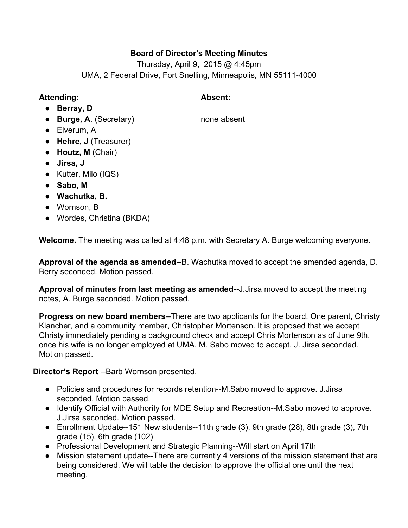## **Board of Director's Meeting Minutes**

Thursday, April 9, 2015 @ 4:45pm UMA, 2 Federal Drive, Fort Snelling, Minneapolis, MN 55111-4000

# **Attending: Absent:**

- **Berray, D**
- **Burge, A**. (Secretary) none absent
- Elverum, A
- **Hehre, J** (Treasurer)
- **Houtz, M**(Chair)
- **● Jirsa, J**
- **●** Kutter, Milo (IQS)
- **Sabo, M**
- **● Wachutka, B.**
- Wornson, B
- Wordes, Christina (BKDA)

**Welcome.**The meeting was called at 4:48 p.m. with Secretary A. Burge welcoming everyone.

**Approval of the agenda as amended--B.** Wachutka moved to accept the amended agenda, D. Berry seconded. Motion passed.

**Approval of minutes from last meeting as amended--J.Jirsa moved to accept the meeting** notes, A. Burge seconded. Motion passed.

**Progress on new board members--There are two applicants for the board. One parent, Christy** Klancher, and a community member, Christopher Mortenson. It is proposed that we accept Christy immediately pending a background check and accept Chris Mortenson as of June 9th, once his wife is no longer employed at UMA. M. Sabo moved to accept. J. Jirsa seconded. Motion passed.

**Director's Report** --Barb Wornson presented.

- Policies and procedures for records retention--M.Sabo moved to approve. J.Jirsa seconded. Motion passed.
- Identify Official with Authority for MDE Setup and Recreation--M.Sabo moved to approve. J.Jirsa seconded. Motion passed.
- Enrollment Update--151 New students--11th grade  $(3)$ , 9th grade  $(28)$ , 8th grade  $(3)$ , 7th grade (15), 6th grade (102)
- Professional Development and Strategic Planning--Will start on April 17th
- Mission statement update--There are currently 4 versions of the mission statement that are being considered. We will table the decision to approve the official one until the next meeting.